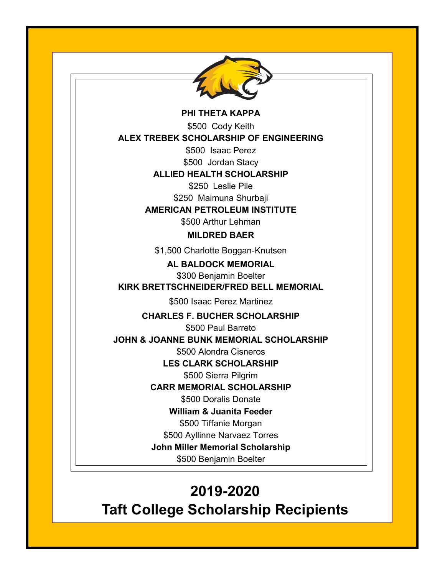

#### **PHI THETA KAPPA**

\$500 Cody Keith

**ALEX TREBEK SCHOLARSHIP OF ENGINEERING**

\$500 Isaac Perez

\$500 Jordan Stacy

# **ALLIED HEALTH SCHOLARSHIP**

\$250 Leslie Pile

\$250 Maimuna Shurbaji

#### **AMERICAN PETROLEUM INSTITUTE**

\$500 Arthur Lehman

## **MILDRED BAER**

\$1,500 Charlotte Boggan-Knutsen

**AL BALDOCK MEMORIAL**

\$300 Benjamin Boelter **KIRK BRETTSCHNEIDER/FRED BELL MEMORIAL**

\$500 Isaac Perez Martinez

**CHARLES F. BUCHER SCHOLARSHIP**

\$500 Paul Barreto

**JOHN & JOANNE BUNK MEMORIAL SCHOLARSHIP**

\$500 Alondra Cisneros

**LES CLARK SCHOLARSHIP**

\$500 Sierra Pilgrim

**CARR MEMORIAL SCHOLARSHIP** 

\$500 Doralis Donate

**William & Juanita Feeder**

\$500 Tiffanie Morgan

\$500 Ayllinne Narvaez Torres

**John Miller Memorial Scholarship**

\$500 Benjamin Boelter

# **2019-2020**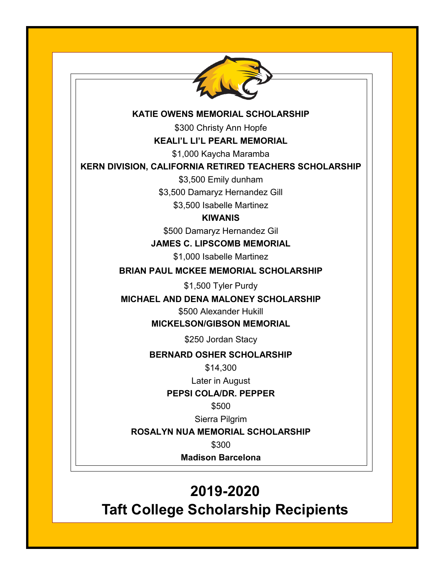

#### **KATIE OWENS MEMORIAL SCHOLARSHIP**

\$300 Christy Ann Hopfe

**KEALI'L LI'L PEARL MEMORIAL**

\$1,000 Kaycha Maramba

# **KERN DIVISION, CALIFORNIA RETIRED TEACHERS SCHOLARSHIP**

\$3,500 Emily dunham

\$3,500 Damaryz Hernandez Gill

\$3,500 Isabelle Martinez

# **KIWANIS**

\$500 Damaryz Hernandez Gil

**JAMES C. LIPSCOMB MEMORIAL**

\$1,000 Isabelle Martinez

# **BRIAN PAUL MCKEE MEMORIAL SCHOLARSHIP**

\$1,500 Tyler Purdy

**MICHAEL AND DENA MALONEY SCHOLARSHIP**

\$500 Alexander Hukill

**MICKELSON/GIBSON MEMORIAL**

\$250 Jordan Stacy

# **BERNARD OSHER SCHOLARSHIP**

\$14,300

Later in August

**PEPSI COLA/DR. PEPPER**

\$500

Sierra Pilgrim

**ROSALYN NUA MEMORIAL SCHOLARSHIP**

\$300

**Madison Barcelona**

# **2019-2020**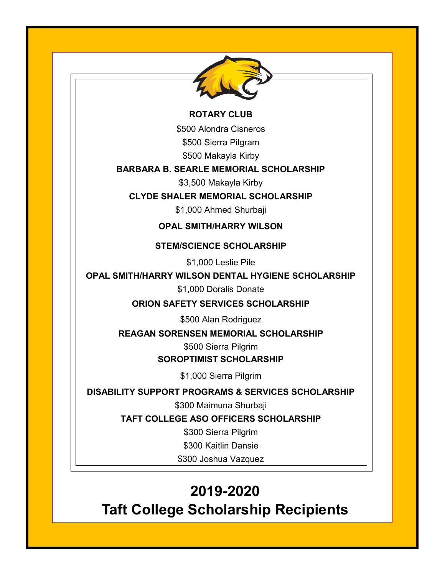

#### **ROTARY CLUB**

\$500 Alondra Cisneros

\$500 Sierra Pilgram

\$500 Makayla Kirby

# **BARBARA B. SEARLE MEMORIAL SCHOLARSHIP**

\$3,500 Makayla Kirby

# **CLYDE SHALER MEMORIAL SCHOLARSHIP**

\$1,000 Ahmed Shurbaji

#### **OPAL SMITH/HARRY WILSON**

#### **STEM/SCIENCE SCHOLARSHIP**

\$1,000 Leslie Pile

# **OPAL SMITH/HARRY WILSON DENTAL HYGIENE SCHOLARSHIP**

\$1,000 Doralis Donate

# **ORION SAFETY SERVICES SCHOLARSHIP**

\$500 Alan Rodriguez

#### **REAGAN SORENSEN MEMORIAL SCHOLARSHIP**

\$500 Sierra Pilgrim

# **SOROPTIMIST SCHOLARSHIP**

\$1,000 Sierra Pilgrim

# **DISABILITY SUPPORT PROGRAMS & SERVICES SCHOLARSHIP**

\$300 Maimuna Shurbaji

**TAFT COLLEGE ASO OFFICERS SCHOLARSHIP**

\$300 Sierra Pilgrim

\$300 Kaitlin Dansie

\$300 Joshua Vazquez

# **2019-2020**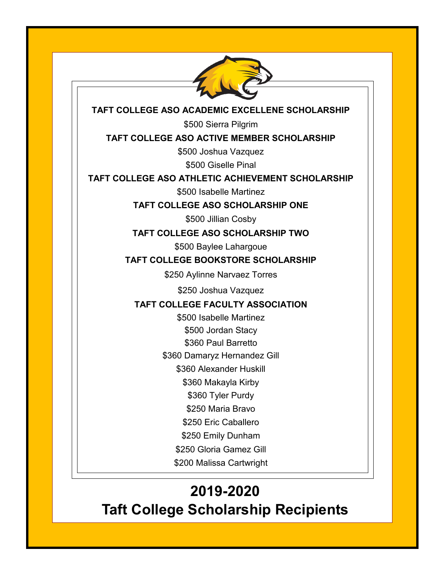

# **TAFT COLLEGE ASO ACADEMIC EXCELLENE SCHOLARSHIP**

\$500 Sierra Pilgrim

# **TAFT COLLEGE ASO ACTIVE MEMBER SCHOLARSHIP**

\$500 Joshua Vazquez

\$500 Giselle Pinal

# **TAFT COLLEGE ASO ATHLETIC ACHIEVEMENT SCHOLARSHIP**

\$500 Isabelle Martinez

**TAFT COLLEGE ASO SCHOLARSHIP ONE**

\$500 Jillian Cosby

**TAFT COLLEGE ASO SCHOLARSHIP TWO**

\$500 Baylee Lahargoue

# **TAFT COLLEGE BOOKSTORE SCHOLARSHIP**

\$250 Aylinne Narvaez Torres

\$250 Joshua Vazquez

# **TAFT COLLEGE FACULTY ASSOCIATION**

\$500 Isabelle Martinez \$500 Jordan Stacy

\$360 Paul Barretto

\$360 Damaryz Hernandez Gill

\$360 Alexander Huskill

\$360 Makayla Kirby

\$360 Tyler Purdy

\$250 Maria Bravo

\$250 Eric Caballero

\$250 Emily Dunham

\$250 Gloria Gamez Gill

\$200 Malissa Cartwright

# **2019-2020**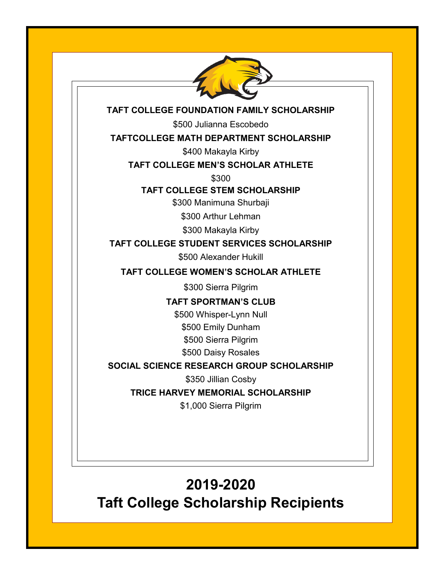

# **TAFT COLLEGE FOUNDATION FAMILY SCHOLARSHIP**

\$500 Julianna Escobedo

# **TAFTCOLLEGE MATH DEPARTMENT SCHOLARSHIP**

\$400 Makayla Kirby

# **TAFT COLLEGE MEN'S SCHOLAR ATHLETE**

\$300

#### **TAFT COLLEGE STEM SCHOLARSHIP**

\$300 Manimuna Shurbaji

\$300 Arthur Lehman

\$300 Makayla Kirby

**TAFT COLLEGE STUDENT SERVICES SCHOLARSHIP**

\$500 Alexander Hukill

**TAFT COLLEGE WOMEN'S SCHOLAR ATHLETE**

\$300 Sierra Pilgrim

**TAFT SPORTMAN'S CLUB**

\$500 Whisper-Lynn Null

\$500 Emily Dunham

\$500 Sierra Pilgrim

\$500 Daisy Rosales

**SOCIAL SCIENCE RESEARCH GROUP SCHOLARSHIP**

\$350 Jillian Cosby

**TRICE HARVEY MEMORIAL SCHOLARSHIP**

\$1,000 Sierra Pilgrim

# **2019-2020**